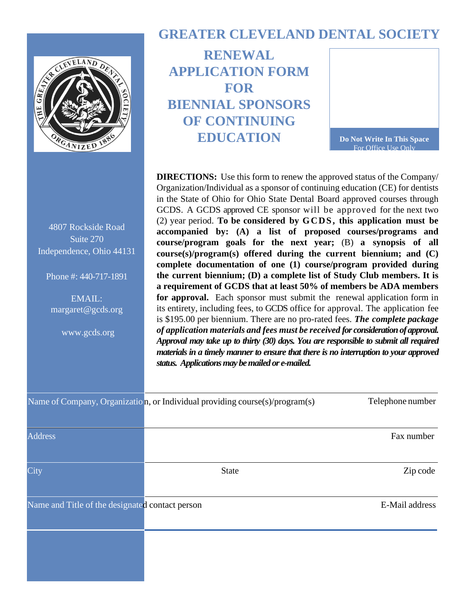

4807 Rockside Road Suite 270 Independence, Ohio 44131

Phone #: 440-717-1891

EMAIL: margaret@gcds.org

www.gcds.org

## **GREATER CLEVELAND DENTAL SOCIETY**

**RENEWAL APPLICATION FORM FOR BIENNIAL SPONSORS OF CONTINUING EDUCATION**

**Do Not Write In This Space** For Office Use Only

**DIRECTIONS:** Use this form to renew the approved status of the Company/ Organization/Individual as a sponsor of continuing education (CE) for dentists in the State of Ohio for Ohio State Dental Board approved courses through GCDS. A GCDS approved CE sponsor will be approved for the next two (2) year period. **To be considered by GCDS, this application must be accompanied by: (A) a list of proposed courses/programs and course/program goals for the next year;** (B) **a synopsis of all course(s)/program(s) offered during the current biennium; and (C) complete documentation of one (1) course/program provided during the current biennium; (D) a complete list of Study Club members. It is a requirement of GCDS that at least 50% of members be ADA members for approval.** Each sponsor must submit the renewal application form in its entirety, including fees, to GCDS office for approval. The application fee is \$195.00 per biennium. There are no pro-rated fees. *The complete package of application materials and fees must be received for consideration of approval. Approval may take up to thirty (30) days. You are responsible to submit all required materials in a timely manner to ensure that there is no interruption to your approved status. Applications may be mailed or e-mailed.* 

|                                                 | Name of Company, Organizatio $n$ , or Individual providing course(s)/program(s) | Telephone number |
|-------------------------------------------------|---------------------------------------------------------------------------------|------------------|
|                                                 |                                                                                 |                  |
| <b>Address</b>                                  |                                                                                 | Fax number       |
| City                                            | <b>State</b>                                                                    | Zip code         |
|                                                 |                                                                                 |                  |
| Name and Title of the designated contact person |                                                                                 | E-Mail address   |
|                                                 |                                                                                 |                  |
|                                                 |                                                                                 |                  |
|                                                 |                                                                                 |                  |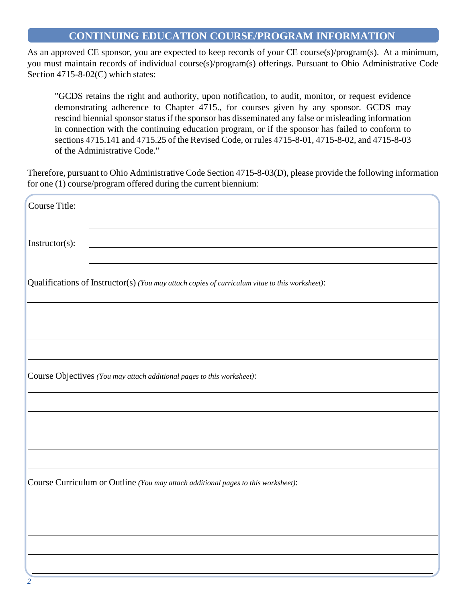#### **CONTINUING EDUCATION COURSE/PROGRAM INFORMATION**

As an approved CE sponsor, you are expected to keep records of your CE course(s)/program(s). At a minimum, you must maintain records of individual course(s)/program(s) offerings. Pursuant to Ohio Administrative Code Section 4715-8-02(C) which states:

"GCDS retains the right and authority, upon notification, to audit, monitor, or request evidence demonstrating adherence to Chapter 4715., for courses given by any sponsor. GCDS may rescind biennial sponsor status if the sponsor has disseminated any false or misleading information in connection with the continuing education program, or if the sponsor has failed to conform to sections 4715.141 and 4715.25 of the Revised Code, or rules 4715-8-01, 4715-8-02, and 4715-8-03 of the Administrative Code."

Therefore, pursuant to Ohio Administrative Code Section 4715-8-03(D), please provide the following information for one (1) course/program offered during the current biennium:

| Course Title:                                                                                  |  |  |  |
|------------------------------------------------------------------------------------------------|--|--|--|
|                                                                                                |  |  |  |
|                                                                                                |  |  |  |
| Instructor(s):                                                                                 |  |  |  |
|                                                                                                |  |  |  |
| Qualifications of Instructor(s) (You may attach copies of curriculum vitae to this worksheet): |  |  |  |
|                                                                                                |  |  |  |
|                                                                                                |  |  |  |
|                                                                                                |  |  |  |
|                                                                                                |  |  |  |
|                                                                                                |  |  |  |
| Course Objectives (You may attach additional pages to this worksheet):                         |  |  |  |
|                                                                                                |  |  |  |
|                                                                                                |  |  |  |
|                                                                                                |  |  |  |
|                                                                                                |  |  |  |
| Course Curriculum or Outline (You may attach additional pages to this worksheet):              |  |  |  |
|                                                                                                |  |  |  |
|                                                                                                |  |  |  |
|                                                                                                |  |  |  |
|                                                                                                |  |  |  |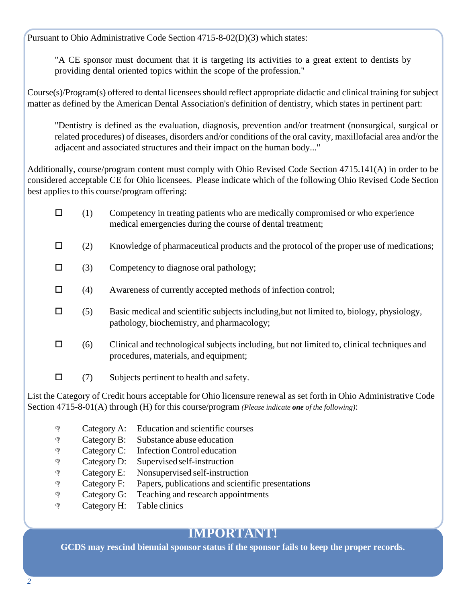Pursuant to Ohio Administrative Code Section 4715-8-02(D)(3) which states:

"A CE sponsor must document that it is targeting its activities to a great extent to dentists by providing dental oriented topics within the scope of the profession."

Course(s)/Program(s) offered to dental licensees should reflect appropriate didactic and clinical training for subject matter as defined by the American Dental Association's definition of dentistry, which states in pertinent part:

"Dentistry is defined as the evaluation, diagnosis, prevention and/or treatment (nonsurgical, surgical or related procedures) of diseases, disorders and/or conditions of the oral cavity, maxillofacial area and/or the adjacent and associated structures and their impact on the human body..."

Additionally, course/program content must comply with Ohio Revised Code Section 4715.141(A) in order to be considered acceptable CE for Ohio licensees. Please indicate which of the following Ohio Revised Code Section best applies to this course/program offering:

- $\Box$  (1) Competency in treating patients who are medically compromised or who experience medical emergencies during the course of dental treatment;
- $\Box$  (2) Knowledge of pharmaceutical products and the protocol of the proper use of medications;
- $\Box$  (3) Competency to diagnose oral pathology;
- $\Box$  (4) Awareness of currently accepted methods of infection control;
- $\Box$  (5) Basic medical and scientific subjects including, but not limited to, biology, physiology, pathology, biochemistry, and pharmacology;
- $\Box$  (6) Clinical and technological subjects including, but not limited to, clinical techniques and procedures, materials, and equipment;
- $\Box$  (7) Subjects pertinent to health and safety.

List the Category of Credit hours acceptable for Ohio licensure renewal as set forth in Ohio Administrative Code Section 4715-8-01(A) through (H) for this course/program *(Please indicate one of the following)*:

- **Example 28** Category A: Education and scientific courses
- **Example 2**: Substance abuse education
- Category C: Infection Control education
- **EXECUTE:** Supervised self-instruction
- **E:** Nonsupervised self-instruction
- Category F: Papers, publications and scientific presentations
- **Example 3** Category G: Teaching and research appointments
- **P** Category H: Table clinics

### **IMPORTANT!**

**GCDS may rescind biennial sponsor status if the sponsor fails to keep the proper records.**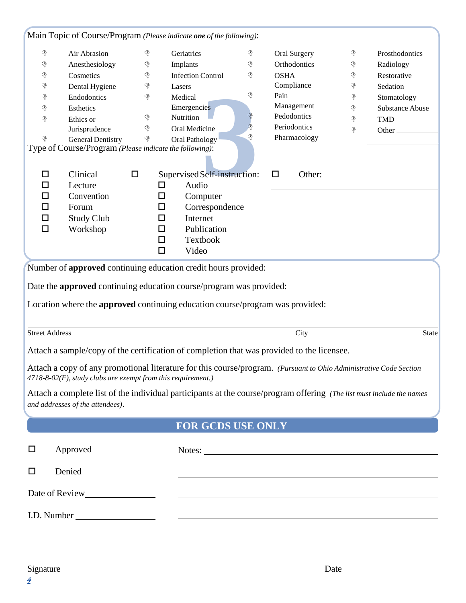|                                                                            |                                                                 |        | Main Topic of Course/Program (Please indicate one of the following):                                                  |               |                  |               |                                                             |
|----------------------------------------------------------------------------|-----------------------------------------------------------------|--------|-----------------------------------------------------------------------------------------------------------------------|---------------|------------------|---------------|-------------------------------------------------------------|
| G                                                                          | Air Abrasion                                                    | ♦      | Geriatrics                                                                                                            | $\mathcal{P}$ | Oral Surgery     | G             | Prosthodontics                                              |
| $\mathbb{Q}$                                                               | Anesthesiology                                                  | Ġ      | Implants                                                                                                              | $\mathcal{L}$ | Orthodontics     | P             | Radiology                                                   |
| $\mathbb{Q}$                                                               | Cosmetics                                                       | ♦      | <b>Infection Control</b>                                                                                              | $\mathcal{P}$ | <b>OSHA</b>      | P             | Restorative                                                 |
| $\mathbb{Q}$                                                               | Dental Hygiene                                                  | ∖      | Lasers                                                                                                                |               | Compliance       | $\mathcal{P}$ | Sedation                                                    |
| $\mathbb{Q}$                                                               | Endodontics                                                     | P      | Medical                                                                                                               | ♦             | Pain             | $\mathcal{P}$ | Stomatology                                                 |
| ♦                                                                          | Esthetics                                                       |        | Emergencies                                                                                                           |               | Management       | G             | <b>Substance Abuse</b>                                      |
| $\mathbb{S}$                                                               | Ethics or                                                       | ♦      | Nutrition                                                                                                             | \$            | Pedodontics      | $\mathbb{P}$  | <b>TMD</b>                                                  |
|                                                                            | Jurisprudence                                                   | P      | Oral Medicine                                                                                                         | $\mathcal{P}$ | Periodontics     | P             | Other                                                       |
| ড়                                                                         | <b>General Dentistry</b>                                        | ♦      | Oral Pathology                                                                                                        | $\mathbb{P}$  | Pharmacology     |               |                                                             |
| Type of Course/Program (Please indicate the following):                    |                                                                 |        |                                                                                                                       |               |                  |               |                                                             |
| □                                                                          | Clinical                                                        | $\Box$ | Supervised Self-instruction:                                                                                          |               | Other:<br>$\Box$ |               |                                                             |
| □                                                                          | Lecture                                                         | □      | Audio                                                                                                                 |               |                  |               |                                                             |
| □                                                                          | Convention                                                      | □      | Computer                                                                                                              |               |                  |               |                                                             |
| □                                                                          | Forum                                                           | □      | Correspondence                                                                                                        |               |                  |               |                                                             |
| $\Box$                                                                     | <b>Study Club</b>                                               | □      | Internet                                                                                                              |               |                  |               |                                                             |
| $\Box$                                                                     | Workshop                                                        | $\Box$ | Publication                                                                                                           |               |                  |               |                                                             |
|                                                                            |                                                                 | □      | Textbook                                                                                                              |               |                  |               |                                                             |
|                                                                            |                                                                 | □      | Video                                                                                                                 |               |                  |               |                                                             |
|                                                                            |                                                                 |        |                                                                                                                       |               |                  |               |                                                             |
|                                                                            |                                                                 |        | Number of approved continuing education credit hours provided:                                                        |               |                  |               |                                                             |
|                                                                            |                                                                 |        |                                                                                                                       |               |                  |               |                                                             |
| Date the <b>approved</b> continuing education course/program was provided: |                                                                 |        |                                                                                                                       |               |                  |               |                                                             |
|                                                                            |                                                                 |        | Location where the approved continuing education course/program was provided:                                         |               |                  |               |                                                             |
|                                                                            |                                                                 |        |                                                                                                                       |               |                  |               |                                                             |
| <b>Street Address</b>                                                      |                                                                 |        |                                                                                                                       |               | City             |               | <b>State</b>                                                |
|                                                                            |                                                                 |        |                                                                                                                       |               |                  |               |                                                             |
|                                                                            |                                                                 |        | Attach a sample/copy of the certification of completion that was provided to the licensee.                            |               |                  |               |                                                             |
|                                                                            |                                                                 |        | Attach a copy of any promotional literature for this course/program. (Pursuant to Ohio Administrative Code Section    |               |                  |               |                                                             |
|                                                                            | $4718-8-02(F)$ , study clubs are exempt from this requirement.) |        |                                                                                                                       |               |                  |               |                                                             |
|                                                                            |                                                                 |        |                                                                                                                       |               |                  |               |                                                             |
|                                                                            | and addresses of the attendees).                                |        | Attach a complete list of the individual participants at the course/program offering (The list must include the names |               |                  |               |                                                             |
|                                                                            |                                                                 |        |                                                                                                                       |               |                  |               |                                                             |
|                                                                            |                                                                 |        | <b>FOR GCDS USE ONLY</b>                                                                                              |               |                  |               |                                                             |
| □                                                                          | Approved                                                        |        |                                                                                                                       |               |                  |               |                                                             |
|                                                                            |                                                                 |        | Notes:                                                                                                                |               |                  |               |                                                             |
| □                                                                          | Denied                                                          |        |                                                                                                                       |               |                  |               | <u> 1989 - Johann Stoff, amerikansk politiker (d. 1989)</u> |
| <u> 1989 - Andrea Stadt Britain, amerikansk politik (</u>                  |                                                                 |        |                                                                                                                       |               |                  |               |                                                             |
|                                                                            |                                                                 |        |                                                                                                                       |               |                  |               |                                                             |
|                                                                            |                                                                 |        |                                                                                                                       |               |                  |               |                                                             |

#### Signature Date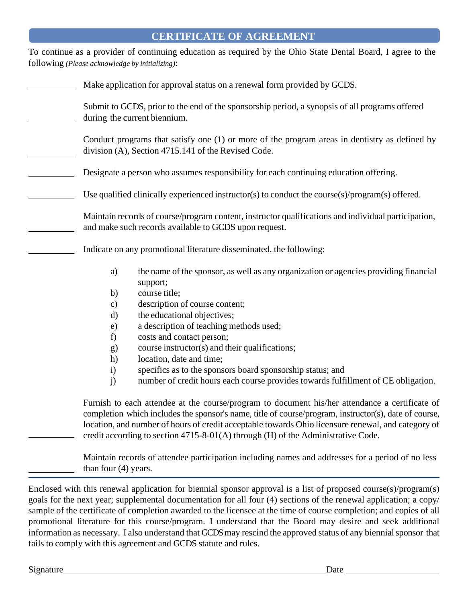#### **CERTIFICATE OF AGREEMENT**

To continue as a provider of continuing education as required by the Ohio State Dental Board, I agree to the following *(Please acknowledge by initializing)*:

| Make application for approval status on a renewal form provided by GCDS.                                                                                                                                                                                                                                                                                                                          |
|---------------------------------------------------------------------------------------------------------------------------------------------------------------------------------------------------------------------------------------------------------------------------------------------------------------------------------------------------------------------------------------------------|
| Submit to GCDS, prior to the end of the sponsorship period, a synopsis of all programs offered<br>during the current biennium.                                                                                                                                                                                                                                                                    |
| Conduct programs that satisfy one (1) or more of the program areas in dentistry as defined by<br>division (A), Section 4715.141 of the Revised Code.                                                                                                                                                                                                                                              |
| Designate a person who assumes responsibility for each continuing education offering.                                                                                                                                                                                                                                                                                                             |
| Use qualified clinically experienced instructor(s) to conduct the course(s)/program(s) offered.                                                                                                                                                                                                                                                                                                   |
| Maintain records of course/program content, instructor qualifications and individual participation,<br>and make such records available to GCDS upon request.                                                                                                                                                                                                                                      |
| Indicate on any promotional literature disseminated, the following:                                                                                                                                                                                                                                                                                                                               |
| the name of the sponsor, as well as any organization or agencies providing financial<br>a)<br>support;                                                                                                                                                                                                                                                                                            |
| course title;<br>b)                                                                                                                                                                                                                                                                                                                                                                               |
| description of course content;<br>$\mathbf{c})$<br>the educational objectives;<br>d)                                                                                                                                                                                                                                                                                                              |
| a description of teaching methods used;<br>$\epsilon$                                                                                                                                                                                                                                                                                                                                             |
| costs and contact person;<br>f)                                                                                                                                                                                                                                                                                                                                                                   |
| course instructor(s) and their qualifications;<br>g)                                                                                                                                                                                                                                                                                                                                              |
| location, date and time;<br>h)                                                                                                                                                                                                                                                                                                                                                                    |
| specifics as to the sponsors board sponsorship status; and<br>$\mathbf{i}$                                                                                                                                                                                                                                                                                                                        |
| j)<br>number of credit hours each course provides towards fulfillment of CE obligation.                                                                                                                                                                                                                                                                                                           |
| Furnish to each attendee at the course/program to document his/her attendance a certificate of<br>completion which includes the sponsor's name, title of course/program, instructor(s), date of course,<br>location, and number of hours of credit acceptable towards Ohio licensure renewal, and category of<br>credit according to section 4715-8-01(A) through (H) of the Administrative Code. |
| Maintain records of attendee participation including names and addresses for a period of no less<br>than four $(4)$ years.                                                                                                                                                                                                                                                                        |

Enclosed with this renewal application for biennial sponsor approval is a list of proposed course(s)/program(s) goals for the next year; supplemental documentation for all four (4) sections of the renewal application; a copy/ sample of the certificate of completion awarded to the licensee at the time of course completion; and copies of all promotional literature for this course/program. I understand that the Board may desire and seek additional information as necessary. I also understand that GCDS may rescind the approved status of any biennial sponsor that fails to comply with this agreement and GCDS statute and rules.